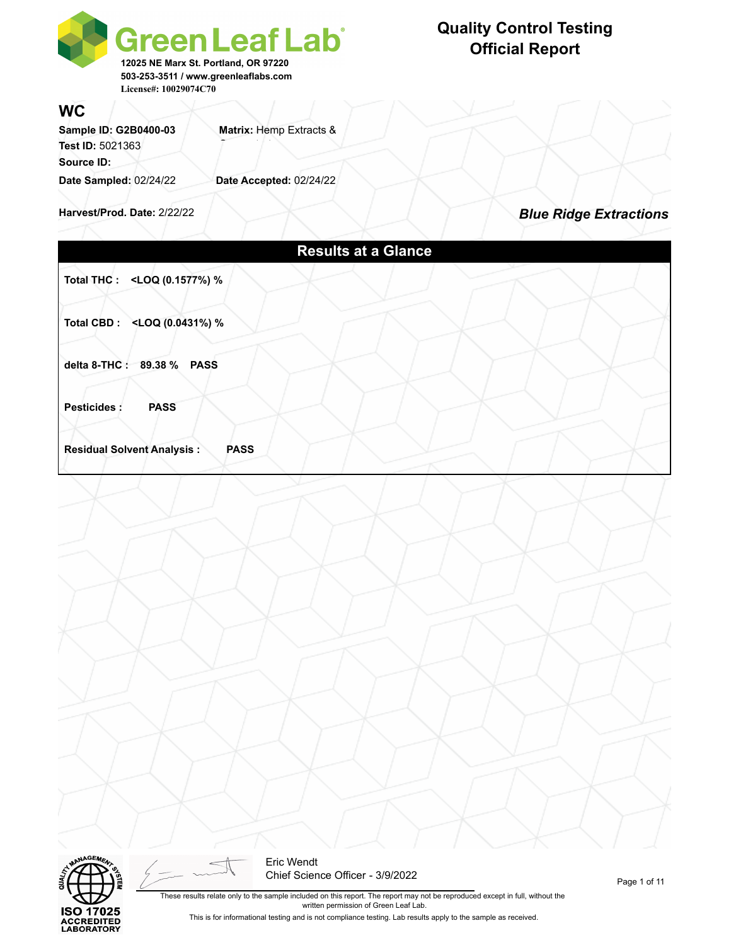

### **WC**

Sample ID: G2B0400-03 **Matrix: Hemp Extracts & Test ID: 5021363 Source ID: Date Sampled:** 02/24/22 **Date Accepted:** 02/24/22

**Harvest/Prod. Date:** 2/22/22

*Blue Ridge Extractions*

|                                                                             | <b>Results at a Glance</b> |  |  |
|-----------------------------------------------------------------------------|----------------------------|--|--|
| Total THC : <loq %<="" (0.1577%)="" th=""><th></th><th></th><th></th></loq> |                            |  |  |
| Total CBD: <loq %<="" (0.0431%)="" th=""><th></th><th></th><th></th></loq>  |                            |  |  |
| delta 8-THC: 89.38 % PASS                                                   |                            |  |  |
| Pesticides :<br><b>PASS</b>                                                 |                            |  |  |
| <b>Residual Solvent Analysis:</b><br><b>PASS</b>                            |                            |  |  |
|                                                                             |                            |  |  |
|                                                                             |                            |  |  |
|                                                                             |                            |  |  |
|                                                                             |                            |  |  |
|                                                                             |                            |  |  |
|                                                                             |                            |  |  |
|                                                                             |                            |  |  |
|                                                                             |                            |  |  |
|                                                                             |                            |  |  |
|                                                                             |                            |  |  |
|                                                                             |                            |  |  |
| <b>MANAGEMENT</b><br>$\lt$                                                  | Eric Wendt                 |  |  |



Chief Science Officer - 3/9/2022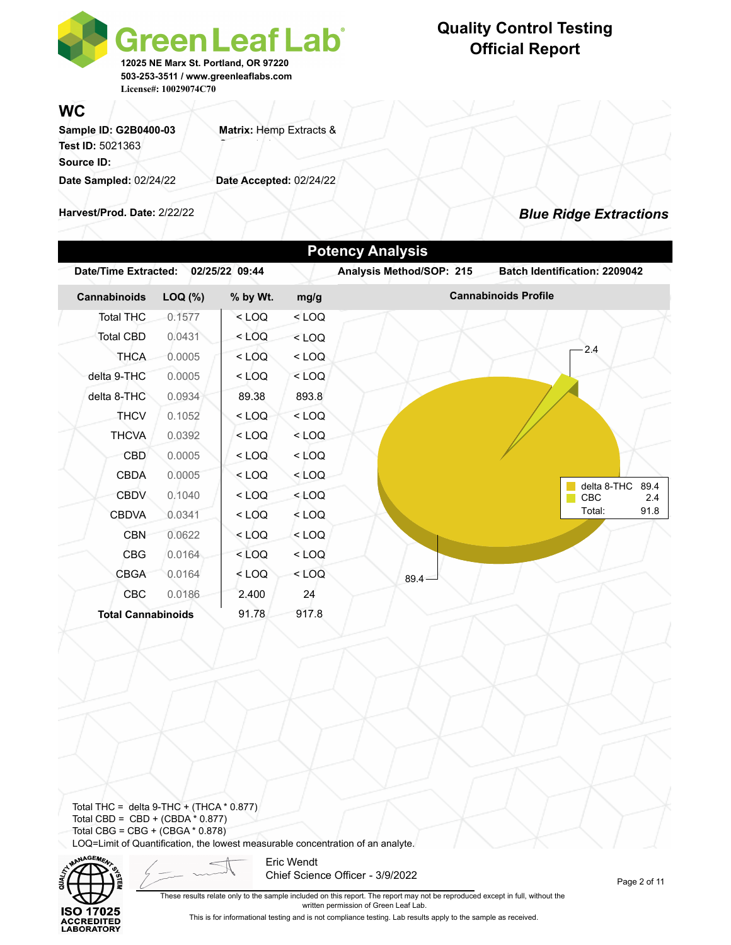

**WC**

| Sample ID: G2B0400-03   | Matrix: Hemp Extracts & |
|-------------------------|-------------------------|
| <b>Test ID: 5021363</b> |                         |
| Source ID:              |                         |
| Date Sampled: 02/24/22  | Date Accepted: 02/24/22 |
|                         |                         |

**Harvest/Prod. Date:** 2/22/22

### *Blue Ridge Extractions*

| Cannabinoids              | LOQ (%) | % by Wt. | mg/g    | <b>Cannabinoids Profile</b>       |
|---------------------------|---------|----------|---------|-----------------------------------|
| <b>Total THC</b>          | 0.1577  | $<$ LOQ  | $<$ LOQ |                                   |
| <b>Total CBD</b>          | 0.0431  | $<$ LOQ  | $<$ LOQ |                                   |
| <b>THCA</b>               | 0.0005  | $<$ LOQ  | $<$ LOQ | 2.4                               |
| delta 9-THC               | 0.0005  | $<$ LOQ  | $<$ LOQ |                                   |
| delta 8-THC               | 0.0934  | 89.38    | 893.8   |                                   |
| <b>THCV</b>               | 0.1052  | $<$ LOQ  | $<$ LOQ |                                   |
| <b>THCVA</b>              | 0.0392  | $<$ LOQ  | $<$ LOQ |                                   |
| <b>CBD</b>                | 0.0005  | $<$ LOQ  | $<$ LOQ |                                   |
| <b>CBDA</b>               | 0.0005  | $<$ LOQ  | $<$ LOQ |                                   |
| <b>CBDV</b>               | 0.1040  | $<$ LOQ  | $<$ LOQ | delta 8-THC<br>89.4<br>CBC<br>2.4 |
| <b>CBDVA</b>              | 0.0341  | $<$ LOQ  | $<$ LOQ | Total:<br>91.8                    |
| <b>CBN</b>                | 0.0622  | $<$ LOQ  | $<$ LOQ |                                   |
| <b>CBG</b>                | 0.0164  | $<$ LOQ  | $<$ LOQ |                                   |
| <b>CBGA</b>               | 0.0164  | $<$ LOQ  | $<$ LOQ | $89.4 -$                          |
| CBC                       | 0.0186  | 2.400    | 24      |                                   |
| <b>Total Cannabinoids</b> |         | 91.78    | 917.8   |                                   |

Total THC = delta  $9$ -THC + (THCA  $*$  0.877) Total CBD =  $CBD + (CBDA * 0.877)$ Total CBG = CBG +  $(CBGA * 0.878)$ LOQ=Limit of Quantification, the lowest measurable concentration of an analyte.



Eric Wendt Chief Science Officer - 3/9/2022

Page 2 of 11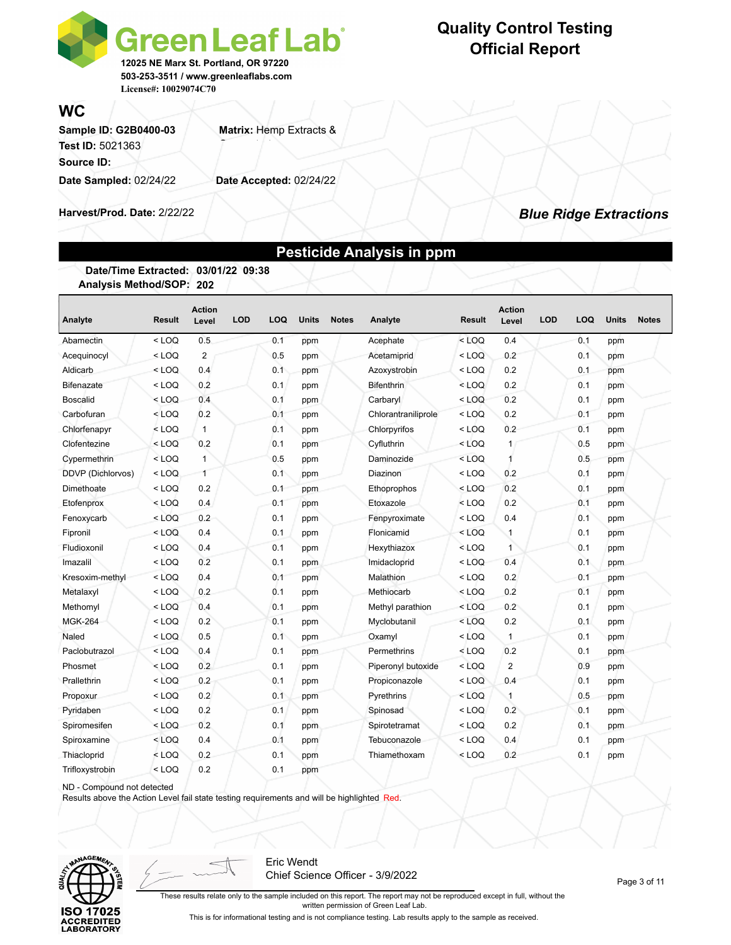

### **WC**

Sample ID: G2B0400-03 **Matrix: Hemp Extracts & Test ID: 5021363 Source ID: Date Sampled:** 02/24/22 **Date Accepted:** 02/24/22

**Harvest/Prod. Date:** 2/22/22

### *Blue Ridge Extractions*

### **Pesticide Analysis in ppm**

**Date/Time Extracted: 03/01/22 09:38 Analysis Method/SOP: 202**

| Analyte           | <b>Result</b> | <b>Action</b><br>Level | <b>LOD</b> | LOQ | <b>Units</b> | <b>Notes</b> | Analyte             | <b>Result</b> | <b>Action</b><br>Level | <b>LOD</b> | LOQ | <b>Units</b> | <b>Notes</b> |
|-------------------|---------------|------------------------|------------|-----|--------------|--------------|---------------------|---------------|------------------------|------------|-----|--------------|--------------|
| Abamectin         | $<$ LOQ       | 0.5                    |            | 0.1 | ppm          |              | Acephate            | $<$ LOQ       | 0.4                    |            | 0.1 | ppm          |              |
| Acequinocyl       | $<$ LOQ       | $\overline{2}$         |            | 0.5 | ppm          |              | Acetamiprid         | $<$ LOQ       | 0.2                    |            | 0.1 | ppm          |              |
| Aldicarb          | $<$ LOQ       | 0.4                    |            | 0.1 | ppm          |              | Azoxystrobin        | $<$ LOQ       | 0.2                    |            | 0.1 | ppm          |              |
| <b>Bifenazate</b> | $<$ LOQ       | 0.2                    |            | 0.1 | ppm          |              | Bifenthrin          | $<$ LOQ       | 0.2                    |            | 0.1 | ppm          |              |
| <b>Boscalid</b>   | $<$ LOQ       | 0.4                    |            | 0.1 | ppm          |              | Carbaryl            | $<$ LOQ       | 0.2                    |            | 0.1 | ppm          |              |
| Carbofuran        | $<$ LOQ       | 0.2                    |            | 0.1 | ppm          |              | Chlorantraniliprole | $<$ LOQ       | 0.2                    |            | 0.1 | ppm          |              |
| Chlorfenapyr      | $<$ LOQ       | $\mathbf{1}$           |            | 0.1 | ppm          |              | Chlorpyrifos        | $<$ LOQ       | 0.2                    |            | 0.1 | ppm          |              |
| Clofentezine      | $<$ LOQ       | 0.2                    |            | 0.1 | ppm          |              | Cyfluthrin          | $<$ LOQ       | 1                      |            | 0.5 | ppm          |              |
| Cypermethrin      | $<$ LOQ       | $\mathbf{1}$           |            | 0.5 | ppm          |              | Daminozide          | $<$ LOQ       | 1                      |            | 0.5 | ppm          |              |
| DDVP (Dichlorvos) | $<$ LOQ       | $\mathbf{1}$           |            | 0.1 | ppm          |              | Diazinon            | $<$ LOQ       | 0.2                    |            | 0.1 | ppm          |              |
| Dimethoate        | $<$ LOQ       | 0.2                    |            | 0.1 | ppm          |              | Ethoprophos         | $<$ LOQ       | 0.2                    |            | 0.1 | ppm          |              |
| Etofenprox        | $<$ LOQ       | 0.4                    |            | 0.1 | ppm          |              | Etoxazole           | $<$ LOQ       | 0.2                    |            | 0.1 | ppm          |              |
| Fenoxycarb        | $<$ LOQ       | 0.2                    |            | 0.1 | ppm          |              | Fenpyroximate       | $<$ LOQ       | 0.4                    |            | 0.1 | ppm          |              |
| Fipronil          | $<$ LOQ       | 0.4                    |            | 0.1 | ppm          |              | Flonicamid          | $<$ LOQ       | $\mathbf{1}$           |            | 0.1 | ppm          |              |
| Fludioxonil       | $<$ LOQ       | 0.4                    |            | 0.1 | ppm          |              | Hexythiazox         | $<$ LOQ       | $\mathbf{1}$           |            | 0.1 | ppm          |              |
| Imazalil          | $<$ LOQ       | 0.2                    |            | 0.1 | ppm          |              | Imidacloprid        | $<$ LOQ       | 0.4                    |            | 0.1 | ppm          |              |
| Kresoxim-methyl   | $<$ LOQ       | 0.4                    |            | 0.1 | ppm          |              | Malathion           | $<$ LOQ       | 0.2                    |            | 0.1 | ppm          |              |
| Metalaxyl         | $<$ LOQ       | 0.2                    |            | 0.1 | ppm          |              | Methiocarb          | $<$ LOQ       | 0.2                    |            | 0.1 | ppm          |              |
| Methomyl          | $<$ LOQ       | 0.4                    |            | 0.1 | ppm          |              | Methyl parathion    | $<$ LOQ       | 0.2                    |            | 0.1 | ppm          |              |
| <b>MGK-264</b>    | $<$ LOQ       | 0.2                    |            | 0.1 | ppm          |              | Myclobutanil        | $<$ LOQ       | 0.2                    |            | 0.1 | ppm          |              |
| Naled             | $<$ LOQ       | 0.5                    |            | 0.1 | ppm          |              | Oxamyl              | $<$ LOQ       | $\mathbf{1}$           |            | 0.1 | ppm          |              |
| Paclobutrazol     | $<$ LOQ       | 0.4                    |            | 0.1 | ppm          |              | Permethrins         | $<$ LOQ       | 0.2                    |            | 0.1 | ppm          |              |
| Phosmet           | $<$ LOQ       | 0.2                    |            | 0.1 | ppm          |              | Piperonyl butoxide  | $<$ LOQ       | $\overline{2}$         |            | 0.9 | ppm          |              |
| Prallethrin       | $<$ LOQ       | 0.2                    |            | 0.1 | ppm          |              | Propiconazole       | $<$ LOQ       | 0.4                    |            | 0.1 | ppm          |              |
| Propoxur          | $<$ LOQ       | 0.2                    |            | 0.1 | ppm          |              | Pyrethrins          | $<$ LOQ       | $\mathbf{1}$           |            | 0.5 | ppm          |              |
| Pyridaben         | $<$ LOQ       | 0.2                    |            | 0.1 | ppm          |              | Spinosad            | $<$ LOQ       | 0.2                    |            | 0.1 | ppm          |              |
| Spiromesifen      | $<$ LOQ       | 0.2                    |            | 0.1 | ppm          |              | Spirotetramat       | $<$ LOQ       | 0.2                    |            | 0.1 | ppm          |              |
| Spiroxamine       | $<$ LOQ       | 0.4                    |            | 0.1 | ppm          |              | Tebuconazole        | $<$ LOQ       | 0.4                    |            | 0.1 | ppm          |              |
| Thiacloprid       | $<$ LOQ       | 0.2                    |            | 0.1 | ppm          |              | Thiamethoxam        | $<$ LOQ       | 0.2                    |            | 0.1 | ppm          |              |
| Trifloxystrobin   | $<$ LOQ       | 0.2                    |            | 0.1 | ppm          |              |                     |               |                        |            |     |              |              |

ND - Compound not detected

Results above the Action Level fail state testing requirements and will be highlighted Red.



Eric Wendt Chief Science Officer - 3/9/2022

Page 3 of 11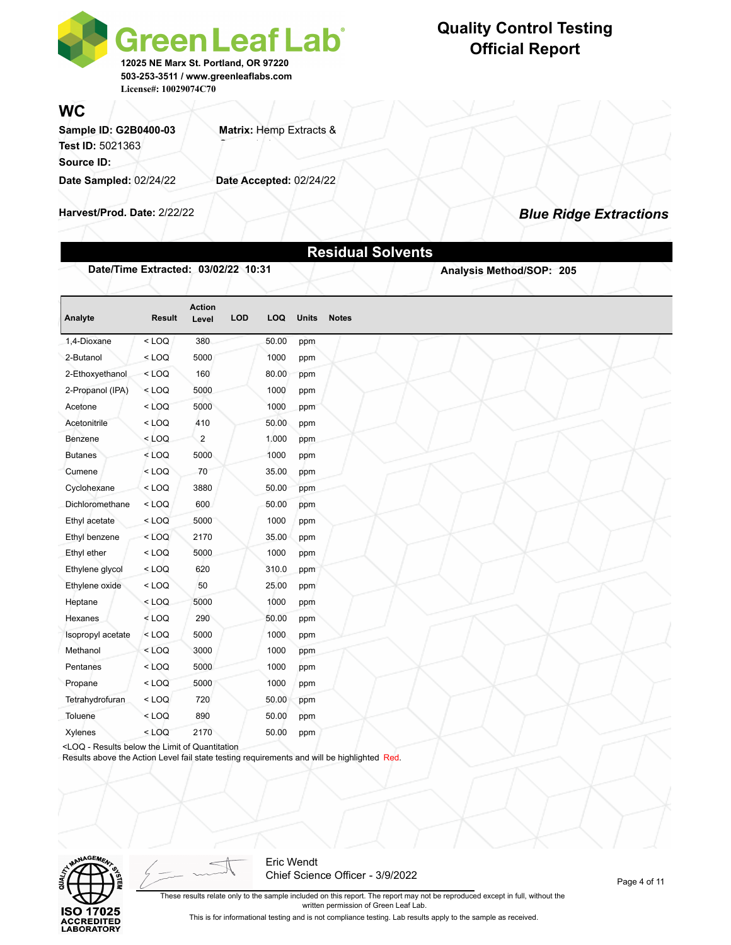

**WC**

Sample ID: G2B0400-03 **Matrix: Hemp Extracts & Test ID: 5021363 Source ID: Date Sampled:** 02/24/22 **Date Accepted:** 02/24/22

**Harvest/Prod. Date:** 2/22/22

### *Blue Ridge Extractions*

|                                                                                                                                         |               |                        |            |       |              | <b>Residual Solvents</b> |
|-----------------------------------------------------------------------------------------------------------------------------------------|---------------|------------------------|------------|-------|--------------|--------------------------|
| Date/Time Extracted: 03/02/22 10:31                                                                                                     |               |                        |            |       |              | Analysis Method/SOP: 205 |
| Analyte                                                                                                                                 | <b>Result</b> | <b>Action</b><br>Level | <b>LOD</b> | LOQ   | <b>Units</b> | <b>Notes</b>             |
| 1,4-Dioxane                                                                                                                             | $<$ LOQ       | 380                    |            | 50.00 | ppm          |                          |
| 2-Butanol                                                                                                                               | $<$ LOQ       | 5000                   |            | 1000  | ppm          |                          |
| 2-Ethoxyethanol                                                                                                                         | $<$ LOQ       | 160                    |            | 80.00 | ppm          |                          |
| 2-Propanol (IPA)                                                                                                                        | $<$ LOQ       | 5000                   |            | 1000  | ppm          |                          |
| Acetone                                                                                                                                 | $<$ LOQ       | 5000                   |            | 1000  | ppm          |                          |
| Acetonitrile                                                                                                                            | $<$ LOQ       | 410                    |            | 50.00 | ppm          |                          |
| Benzene                                                                                                                                 | $<$ LOQ       | $\overline{2}$         |            | 1.000 | ppm          |                          |
| <b>Butanes</b>                                                                                                                          | $<$ LOQ       | 5000                   |            | 1000  | ppm          |                          |
| Cumene                                                                                                                                  | $<$ LOQ       | 70                     |            | 35.00 | ppm          |                          |
| Cyclohexane                                                                                                                             | $<$ LOQ       | 3880                   |            | 50.00 | ppm          |                          |
| Dichloromethane                                                                                                                         | $<$ LOQ       | 600                    |            | 50.00 | ppm          |                          |
| Ethyl acetate                                                                                                                           | $<$ LOQ       | 5000                   |            | 1000  | ppm          |                          |
| Ethyl benzene                                                                                                                           | $<$ LOQ       | 2170                   |            | 35.00 | ppm          |                          |
| Ethyl ether                                                                                                                             | $<$ LOQ       | 5000                   |            | 1000  | ppm          |                          |
| Ethylene glycol                                                                                                                         | $<$ LOQ       | 620                    |            | 310.0 | ppm          |                          |
| Ethylene oxide                                                                                                                          | $<$ LOQ       | 50                     |            | 25.00 | ppm          |                          |
| Heptane                                                                                                                                 | $<$ LOQ       | 5000                   |            | 1000  | ppm          |                          |
| Hexanes                                                                                                                                 | $<$ LOQ       | 290                    |            | 50.00 | ppm          |                          |
| Isopropyl acetate                                                                                                                       | $<$ LOQ       | 5000                   |            | 1000  | ppm          |                          |
| Methanol                                                                                                                                | $<$ LOQ       | 3000                   |            | 1000  | ppm          |                          |
| Pentanes                                                                                                                                | $<$ LOQ       | 5000                   |            | 1000  | ppm          |                          |
| Propane                                                                                                                                 | $<$ LOQ       | 5000                   |            | 1000  | ppm          |                          |
| Tetrahydrofuran                                                                                                                         | $<$ LOQ       | 720                    |            | 50.00 | ppm          |                          |
| Toluene                                                                                                                                 | $<$ LOQ       | 890                    |            | 50.00 | ppm          |                          |
| Xylenes                                                                                                                                 | $<$ LOQ       | 2170                   |            | 50.00 | ppm          |                          |
| <loq -="" below="" limit="" of="" quantitation<="" results="" td="" the=""><td></td><td></td><td></td><td></td><td></td><td></td></loq> |               |                        |            |       |              |                          |

Results above the Action Level fail state testing requirements and will be highlighted Red.



Eric Wendt Chief Science Officer - 3/9/2022

Page 4 of 11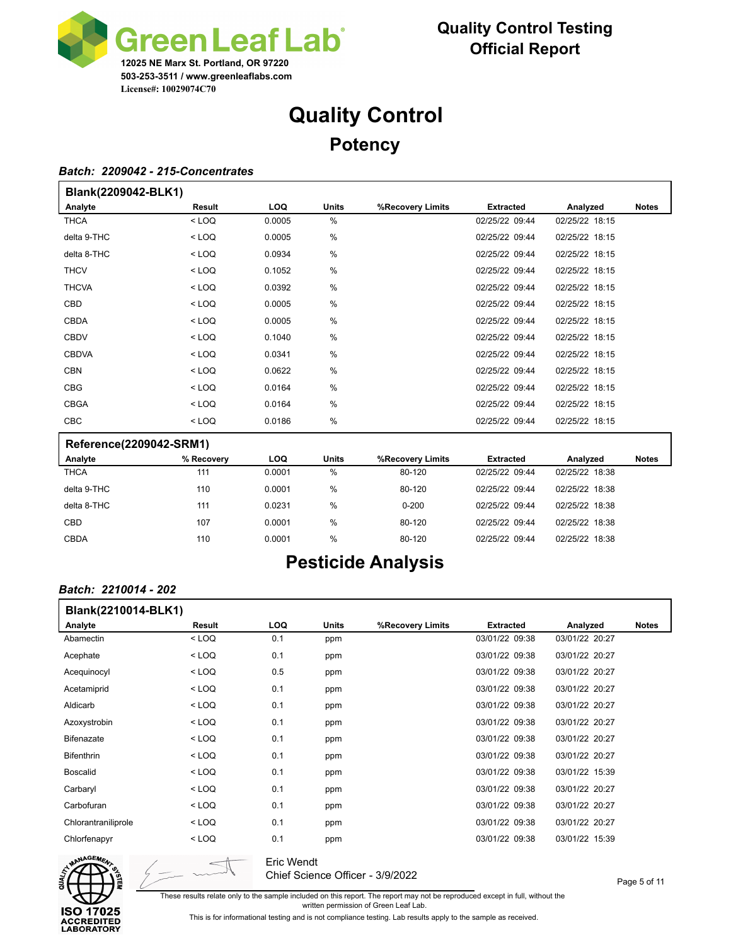

# **Quality Control Potency**

#### *Batch: 2209042 - 215-Concentrates*

| Blank(2209042-BLK1)     |         |        |       |                  |                  |                |              |
|-------------------------|---------|--------|-------|------------------|------------------|----------------|--------------|
| Analyte                 | Result  | LOQ.   | Units | %Recovery Limits | <b>Extracted</b> | Analyzed       | <b>Notes</b> |
| <b>THCA</b>             | $<$ LOQ | 0.0005 | %     |                  | 02/25/22 09:44   | 02/25/22 18:15 |              |
| delta 9-THC             | $<$ LOQ | 0.0005 | %     |                  | 02/25/22 09:44   | 02/25/22 18:15 |              |
| delta 8-THC             | $<$ LOQ | 0.0934 | %     |                  | 02/25/22 09:44   | 02/25/22 18:15 |              |
| <b>THCV</b>             | $<$ LOQ | 0.1052 | %     |                  | 02/25/22 09:44   | 02/25/22 18:15 |              |
| <b>THCVA</b>            | $<$ LOQ | 0.0392 | %     |                  | 02/25/22 09:44   | 02/25/22 18:15 |              |
| <b>CBD</b>              | $<$ LOQ | 0.0005 | %     |                  | 02/25/22 09:44   | 02/25/22 18:15 |              |
| <b>CBDA</b>             | $<$ LOQ | 0.0005 | %     |                  | 02/25/22 09:44   | 02/25/22 18:15 |              |
| <b>CBDV</b>             | $<$ LOQ | 0.1040 | %     |                  | 02/25/22 09:44   | 02/25/22 18:15 |              |
| <b>CBDVA</b>            | $<$ LOQ | 0.0341 | %     |                  | 02/25/22 09:44   | 02/25/22 18:15 |              |
| <b>CBN</b>              | $<$ LOQ | 0.0622 | %     |                  | 02/25/22 09:44   | 02/25/22 18:15 |              |
| <b>CBG</b>              | $<$ LOQ | 0.0164 | %     |                  | 02/25/22 09:44   | 02/25/22 18:15 |              |
| <b>CBGA</b>             | $<$ LOQ | 0.0164 | %     |                  | 02/25/22 09:44   | 02/25/22 18:15 |              |
| <b>CBC</b>              | $<$ LOQ | 0.0186 | %     |                  | 02/25/22 09:44   | 02/25/22 18:15 |              |
| Reference(2209042-SRM1) |         |        |       |                  |                  |                |              |

#### **Reference(2209042-SRM1)**

| Analyte     | % Recovery | LOQ    | Units | %Recovery Limits | <b>Extracted</b> | Analyzed       | <b>Notes</b> |
|-------------|------------|--------|-------|------------------|------------------|----------------|--------------|
| <b>THCA</b> | 111        | 0.0001 | %     | 80-120           | 02/25/22 09:44   | 02/25/22 18:38 |              |
| delta 9-THC | 110        | 0.0001 | %     | 80-120           | 02/25/22 09:44   | 02/25/22 18:38 |              |
| delta 8-THC | 111        | 0.0231 | %     | $0 - 200$        | 02/25/22 09:44   | 02/25/22 18:38 |              |
| CBD         | 107        | 0.0001 | %     | 80-120           | 02/25/22 09:44   | 02/25/22 18:38 |              |
| <b>CBDA</b> | 110        | 0.0001 | %     | 80-120           | 02/25/22 09:44   | 02/25/22 18:38 |              |

## **Pesticide Analysis**

#### *Batch: 2210014 - 202*

| Blank(2210014-BLK1) |         |      |       |                  |                  |                |              |  |  |  |
|---------------------|---------|------|-------|------------------|------------------|----------------|--------------|--|--|--|
| Analyte             | Result  | LOQ. | Units | %Recovery Limits | <b>Extracted</b> | Analyzed       | <b>Notes</b> |  |  |  |
| Abamectin           | $<$ LOQ | 0.1  | ppm   |                  | 03/01/22 09:38   | 03/01/22 20:27 |              |  |  |  |
| Acephate            | $<$ LOQ | 0.1  | ppm   |                  | 03/01/22 09:38   | 03/01/22 20:27 |              |  |  |  |
| Acequinocyl         | $<$ LOQ | 0.5  | ppm   |                  | 03/01/22 09:38   | 03/01/22 20:27 |              |  |  |  |
| Acetamiprid         | $<$ LOQ | 0.1  | ppm   |                  | 03/01/22 09:38   | 03/01/22 20:27 |              |  |  |  |
| Aldicarb            | $<$ LOQ | 0.1  | ppm   |                  | 03/01/22 09:38   | 03/01/22 20:27 |              |  |  |  |
| Azoxystrobin        | $<$ LOQ | 0.1  | ppm   |                  | 03/01/22 09:38   | 03/01/22 20:27 |              |  |  |  |
| <b>Bifenazate</b>   | $<$ LOQ | 0.1  | ppm   |                  | 03/01/22 09:38   | 03/01/22 20:27 |              |  |  |  |
| <b>Bifenthrin</b>   | $<$ LOQ | 0.1  | ppm   |                  | 03/01/22 09:38   | 03/01/22 20:27 |              |  |  |  |
| <b>Boscalid</b>     | $<$ LOQ | 0.1  | ppm   |                  | 03/01/22 09:38   | 03/01/22 15:39 |              |  |  |  |
| Carbaryl            | $<$ LOQ | 0.1  | ppm   |                  | 03/01/22 09:38   | 03/01/22 20:27 |              |  |  |  |
| Carbofuran          | $<$ LOQ | 0.1  | ppm   |                  | 03/01/22 09:38   | 03/01/22 20:27 |              |  |  |  |
| Chlorantraniliprole | $<$ LOQ | 0.1  | ppm   |                  | 03/01/22 09:38   | 03/01/22 20:27 |              |  |  |  |
| Chlorfenapyr        | $<$ LOQ | 0.1  | ppm   |                  | 03/01/22 09:38   | 03/01/22 15:39 |              |  |  |  |



Eric Wendt Chief Science Officer - 3/9/2022

These results relate only to the sample included on this report. The report may not be reproduced except in full, without the

written permission of Green Leaf Lab.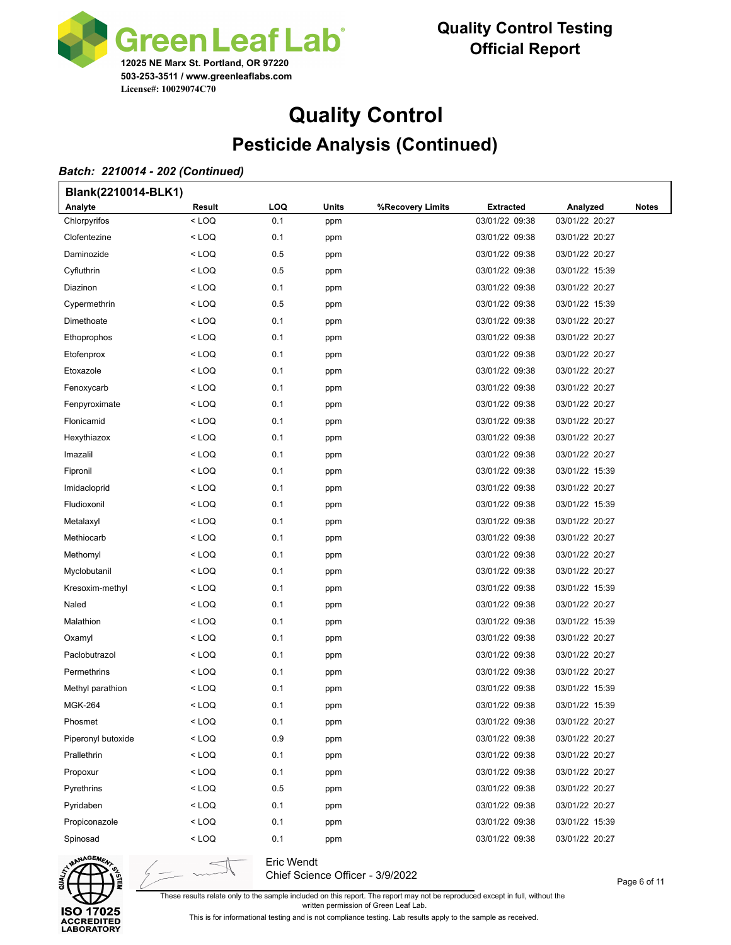

# **Quality Control Pesticide Analysis (Continued)**

#### *Batch: 2210014 - 202 (Continued)*

| Blank(2210014-BLK1) |                                                                                                             |     |       |                  |                  |                |              |
|---------------------|-------------------------------------------------------------------------------------------------------------|-----|-------|------------------|------------------|----------------|--------------|
| Analyte             | Result                                                                                                      | LOQ | Units | %Recovery Limits | <b>Extracted</b> | Analyzed       | <b>Notes</b> |
| Chlorpyrifos        | $<$ LOQ                                                                                                     | 0.1 | ppm   |                  | 03/01/22 09:38   | 03/01/22 20:27 |              |
| Clofentezine        | < LOQ                                                                                                       | 0.1 | ppm   |                  | 03/01/22 09:38   | 03/01/22 20:27 |              |
| Daminozide          | < LOQ                                                                                                       | 0.5 | ppm   |                  | 03/01/22 09:38   | 03/01/22 20:27 |              |
| Cyfluthrin          | < LOQ                                                                                                       | 0.5 | ppm   |                  | 03/01/22 09:38   | 03/01/22 15:39 |              |
| Diazinon            | < LOQ                                                                                                       | 0.1 | ppm   |                  | 03/01/22 09:38   | 03/01/22 20:27 |              |
| Cypermethrin        | < LOQ                                                                                                       | 0.5 | ppm   |                  | 03/01/22 09:38   | 03/01/22 15:39 |              |
| Dimethoate          | < LOQ                                                                                                       | 0.1 | ppm   |                  | 03/01/22 09:38   | 03/01/22 20:27 |              |
| Ethoprophos         | < LOQ                                                                                                       | 0.1 | ppm   |                  | 03/01/22 09:38   | 03/01/22 20:27 |              |
| Etofenprox          | < LOQ                                                                                                       | 0.1 | ppm   |                  | 03/01/22 09:38   | 03/01/22 20:27 |              |
| Etoxazole           | < LOQ                                                                                                       | 0.1 | ppm   |                  | 03/01/22 09:38   | 03/01/22 20:27 |              |
| Fenoxycarb          | < LOQ                                                                                                       | 0.1 | ppm   |                  | 03/01/22 09:38   | 03/01/22 20:27 |              |
| Fenpyroximate       | < LOQ                                                                                                       | 0.1 | ppm   |                  | 03/01/22 09:38   | 03/01/22 20:27 |              |
| Flonicamid          | < LOQ                                                                                                       | 0.1 | ppm   |                  | 03/01/22 09:38   | 03/01/22 20:27 |              |
| Hexythiazox         | < LOQ                                                                                                       | 0.1 | ppm   |                  | 03/01/22 09:38   | 03/01/22 20:27 |              |
| Imazalil            | < LOQ                                                                                                       | 0.1 | ppm   |                  | 03/01/22 09:38   | 03/01/22 20:27 |              |
| Fipronil            | < LOQ                                                                                                       | 0.1 | ppm   |                  | 03/01/22 09:38   | 03/01/22 15:39 |              |
| Imidacloprid        | < LOQ                                                                                                       | 0.1 | ppm   |                  | 03/01/22 09:38   | 03/01/22 20:27 |              |
| Fludioxonil         | < LOQ                                                                                                       | 0.1 | ppm   |                  | 03/01/22 09:38   | 03/01/22 15:39 |              |
| Metalaxyl           | < LOQ                                                                                                       | 0.1 | ppm   |                  | 03/01/22 09:38   | 03/01/22 20:27 |              |
| Methiocarb          | < LOQ                                                                                                       | 0.1 | ppm   |                  | 03/01/22 09:38   | 03/01/22 20:27 |              |
| Methomyl            | < LOQ                                                                                                       | 0.1 | ppm   |                  | 03/01/22 09:38   | 03/01/22 20:27 |              |
| Myclobutanil        | < LOQ                                                                                                       | 0.1 | ppm   |                  | 03/01/22 09:38   | 03/01/22 20:27 |              |
| Kresoxim-methyl     | < LOQ                                                                                                       | 0.1 | ppm   |                  | 03/01/22 09:38   | 03/01/22 15:39 |              |
| Naled               | < LOQ                                                                                                       | 0.1 | ppm   |                  | 03/01/22 09:38   | 03/01/22 20:27 |              |
| Malathion           | < LOQ                                                                                                       | 0.1 | ppm   |                  | 03/01/22 09:38   | 03/01/22 15:39 |              |
| Oxamyl              | < LOQ                                                                                                       | 0.1 | ppm   |                  | 03/01/22 09:38   | 03/01/22 20:27 |              |
| Paclobutrazol       | < LOQ                                                                                                       | 0.1 | ppm   |                  | 03/01/22 09:38   | 03/01/22 20:27 |              |
| Permethrins         | < LOQ                                                                                                       | 0.1 | ppm   |                  | 03/01/22 09:38   | 03/01/22 20:27 |              |
| Methyl parathion    | < LOQ                                                                                                       | 0.1 | ppm   |                  | 03/01/22 09:38   | 03/01/22 15:39 |              |
| <b>MGK-264</b>      | <loq< td=""><td>0.1</td><td>ppm</td><td></td><td>03/01/22 09:38</td><td>03/01/22 15:39</td><td></td></loq<> | 0.1 | ppm   |                  | 03/01/22 09:38   | 03/01/22 15:39 |              |
| Phosmet             | < LOQ                                                                                                       | 0.1 | ppm   |                  | 03/01/22 09:38   | 03/01/22 20:27 |              |
| Piperonyl butoxide  | < LOQ                                                                                                       | 0.9 | ppm   |                  | 03/01/22 09:38   | 03/01/22 20:27 |              |
| Prallethrin         | < LOQ                                                                                                       | 0.1 | ppm   |                  | 03/01/22 09:38   | 03/01/22 20:27 |              |
| Propoxur            | < LOQ                                                                                                       | 0.1 | ppm   |                  | 03/01/22 09:38   | 03/01/22 20:27 |              |
| Pyrethrins          | < LOQ                                                                                                       | 0.5 | ppm   |                  | 03/01/22 09:38   | 03/01/22 20:27 |              |
| Pyridaben           | < LOQ                                                                                                       | 0.1 | ppm   |                  | 03/01/22 09:38   | 03/01/22 20:27 |              |
| Propiconazole       | < LOQ                                                                                                       | 0.1 | ppm   |                  | 03/01/22 09:38   | 03/01/22 15:39 |              |
| Spinosad            | $<$ LOQ                                                                                                     | 0.1 | ppm   |                  | 03/01/22 09:38   | 03/01/22 20:27 |              |



Eric Wendt Chief Science Officer - 3/9/2022

These results relate only to the sample included on this report. The report may not be reproduced except in full, without the written permission of Green Leaf Lab.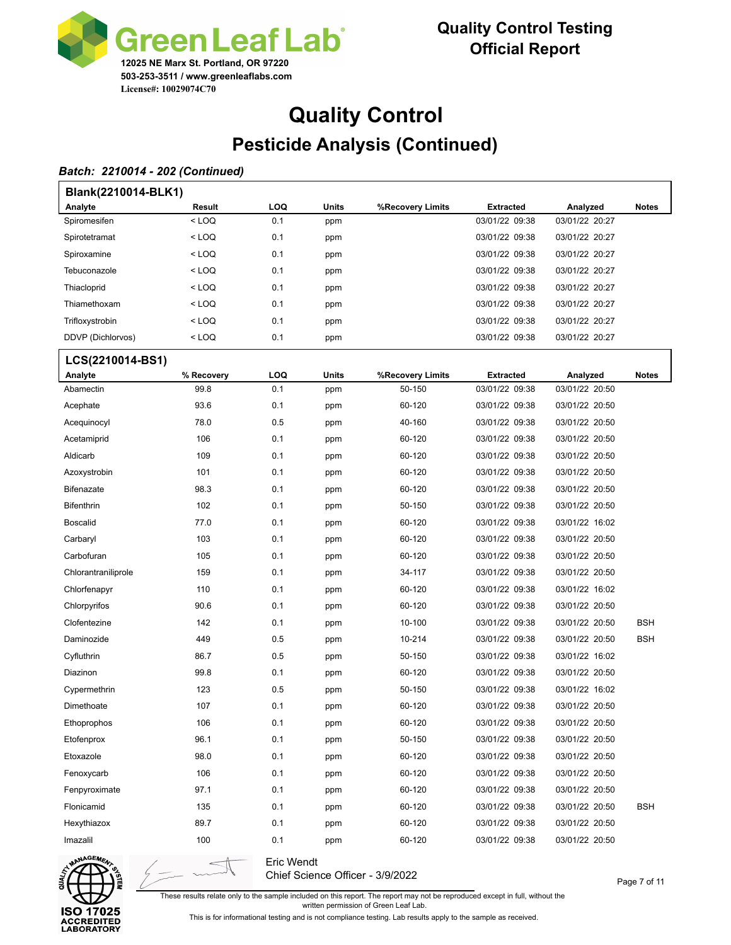

## **Quality Control Pesticide Analysis (Continued)**

### *Batch: 2210014 - 202 (Continued)*

| Blank(2210014-BLK1) |                                                                                                             |     |              |                  |                  |                |              |  |  |  |  |
|---------------------|-------------------------------------------------------------------------------------------------------------|-----|--------------|------------------|------------------|----------------|--------------|--|--|--|--|
| Analyte             | Result                                                                                                      | LOQ | Units        | %Recovery Limits | <b>Extracted</b> | Analyzed       | <b>Notes</b> |  |  |  |  |
| Spiromesifen        | $<$ LOQ                                                                                                     | 0.1 | ppm          |                  | 03/01/22 09:38   | 03/01/22 20:27 |              |  |  |  |  |
| Spirotetramat       | $<$ LOQ                                                                                                     | 0.1 | ppm          |                  | 03/01/22 09:38   | 03/01/22 20:27 |              |  |  |  |  |
| Spiroxamine         | < LOQ                                                                                                       | 0.1 | ppm          |                  | 03/01/22 09:38   | 03/01/22 20:27 |              |  |  |  |  |
| Tebuconazole        | < LOQ                                                                                                       | 0.1 | ppm          |                  | 03/01/22 09:38   | 03/01/22 20:27 |              |  |  |  |  |
| Thiacloprid         | < LOQ                                                                                                       | 0.1 | ppm          |                  | 03/01/22 09:38   | 03/01/22 20:27 |              |  |  |  |  |
| Thiamethoxam        | < LOQ                                                                                                       | 0.1 | ppm          |                  | 03/01/22 09:38   | 03/01/22 20:27 |              |  |  |  |  |
| Trifloxystrobin     | < LOQ                                                                                                       | 0.1 | ppm          |                  | 03/01/22 09:38   | 03/01/22 20:27 |              |  |  |  |  |
| DDVP (Dichlorvos)   | <loq< td=""><td>0.1</td><td>ppm</td><td></td><td>03/01/22 09:38</td><td>03/01/22 20:27</td><td></td></loq<> | 0.1 | ppm          |                  | 03/01/22 09:38   | 03/01/22 20:27 |              |  |  |  |  |
| LCS(2210014-BS1)    |                                                                                                             |     |              |                  |                  |                |              |  |  |  |  |
| Analyte             | % Recovery                                                                                                  | LOQ | <b>Units</b> | %Recovery Limits | <b>Extracted</b> | Analyzed       | <b>Notes</b> |  |  |  |  |
| Abamectin           | 99.8                                                                                                        | 0.1 | ppm          | 50-150           | 03/01/22 09:38   | 03/01/22 20:50 |              |  |  |  |  |
| Acephate            | 93.6                                                                                                        | 0.1 | ppm          | 60-120           | 03/01/22 09:38   | 03/01/22 20:50 |              |  |  |  |  |
| Acequinocyl         | 78.0                                                                                                        | 0.5 | ppm          | 40-160           | 03/01/22 09:38   | 03/01/22 20:50 |              |  |  |  |  |
| Acetamiprid         | 106                                                                                                         | 0.1 | ppm          | 60-120           | 03/01/22 09:38   | 03/01/22 20:50 |              |  |  |  |  |
| Aldicarb            | 109                                                                                                         | 0.1 | ppm          | 60-120           | 03/01/22 09:38   | 03/01/22 20:50 |              |  |  |  |  |
| Azoxystrobin        | 101                                                                                                         | 0.1 | ppm          | 60-120           | 03/01/22 09:38   | 03/01/22 20:50 |              |  |  |  |  |
| Bifenazate          | 98.3                                                                                                        | 0.1 | ppm          | 60-120           | 03/01/22 09:38   | 03/01/22 20:50 |              |  |  |  |  |
| Bifenthrin          | 102                                                                                                         | 0.1 | ppm          | 50-150           | 03/01/22 09:38   | 03/01/22 20:50 |              |  |  |  |  |
| <b>Boscalid</b>     | 77.0                                                                                                        | 0.1 | ppm          | 60-120           | 03/01/22 09:38   | 03/01/22 16:02 |              |  |  |  |  |
| Carbaryl            | 103                                                                                                         | 0.1 | ppm          | 60-120           | 03/01/22 09:38   | 03/01/22 20:50 |              |  |  |  |  |
| Carbofuran          | 105                                                                                                         | 0.1 | ppm          | 60-120           | 03/01/22 09:38   | 03/01/22 20:50 |              |  |  |  |  |
| Chlorantraniliprole | 159                                                                                                         | 0.1 | ppm          | 34-117           | 03/01/22 09:38   | 03/01/22 20:50 |              |  |  |  |  |
| Chlorfenapyr        | 110                                                                                                         | 0.1 | ppm          | 60-120           | 03/01/22 09:38   | 03/01/22 16:02 |              |  |  |  |  |
| Chlorpyrifos        | 90.6                                                                                                        | 0.1 | ppm          | 60-120           | 03/01/22 09:38   | 03/01/22 20:50 |              |  |  |  |  |
| Clofentezine        | 142                                                                                                         | 0.1 | ppm          | 10-100           | 03/01/22 09:38   | 03/01/22 20:50 | <b>BSH</b>   |  |  |  |  |
| Daminozide          | 449                                                                                                         | 0.5 | ppm          | 10-214           | 03/01/22 09:38   | 03/01/22 20:50 | <b>BSH</b>   |  |  |  |  |
| Cyfluthrin          | 86.7                                                                                                        | 0.5 | ppm          | 50-150           | 03/01/22 09:38   | 03/01/22 16:02 |              |  |  |  |  |
| Diazinon            | 99.8                                                                                                        | 0.1 | ppm          | 60-120           | 03/01/22 09:38   | 03/01/22 20:50 |              |  |  |  |  |
| Cypermethrin        | 123                                                                                                         | 0.5 | ppm          | 50-150           | 03/01/22 09:38   | 03/01/22 16:02 |              |  |  |  |  |
| Dimethoate          | 107                                                                                                         | 0.1 | ppm          | 60-120           | 03/01/22 09:38   | 03/01/22 20:50 |              |  |  |  |  |
| Ethoprophos         | 106                                                                                                         | 0.1 | ppm          | 60-120           | 03/01/22 09:38   | 03/01/22 20:50 |              |  |  |  |  |
| Etofenprox          | 96.1                                                                                                        | 0.1 | ppm          | 50-150           | 03/01/22 09:38   | 03/01/22 20:50 |              |  |  |  |  |
| Etoxazole           | 98.0                                                                                                        | 0.1 | ppm          | 60-120           | 03/01/22 09:38   | 03/01/22 20:50 |              |  |  |  |  |
| Fenoxycarb          | 106                                                                                                         | 0.1 | ppm          | 60-120           | 03/01/22 09:38   | 03/01/22 20:50 |              |  |  |  |  |
| Fenpyroximate       | 97.1                                                                                                        | 0.1 | ppm          | 60-120           | 03/01/22 09:38   | 03/01/22 20:50 |              |  |  |  |  |
| Flonicamid          | 135                                                                                                         | 0.1 | ppm          | 60-120           | 03/01/22 09:38   | 03/01/22 20:50 | <b>BSH</b>   |  |  |  |  |
| Hexythiazox         | 89.7                                                                                                        | 0.1 | ppm          | 60-120           | 03/01/22 09:38   | 03/01/22 20:50 |              |  |  |  |  |
| Imazalil            | 100                                                                                                         | 0.1 | ppm          | 60-120           | 03/01/22 09:38   | 03/01/22 20:50 |              |  |  |  |  |



Eric Wendt Chief Science Officer - 3/9/2022

Page 7 of 11

These results relate only to the sample included on this report. The report may not be reproduced except in full, without the

written permission of Green Leaf Lab.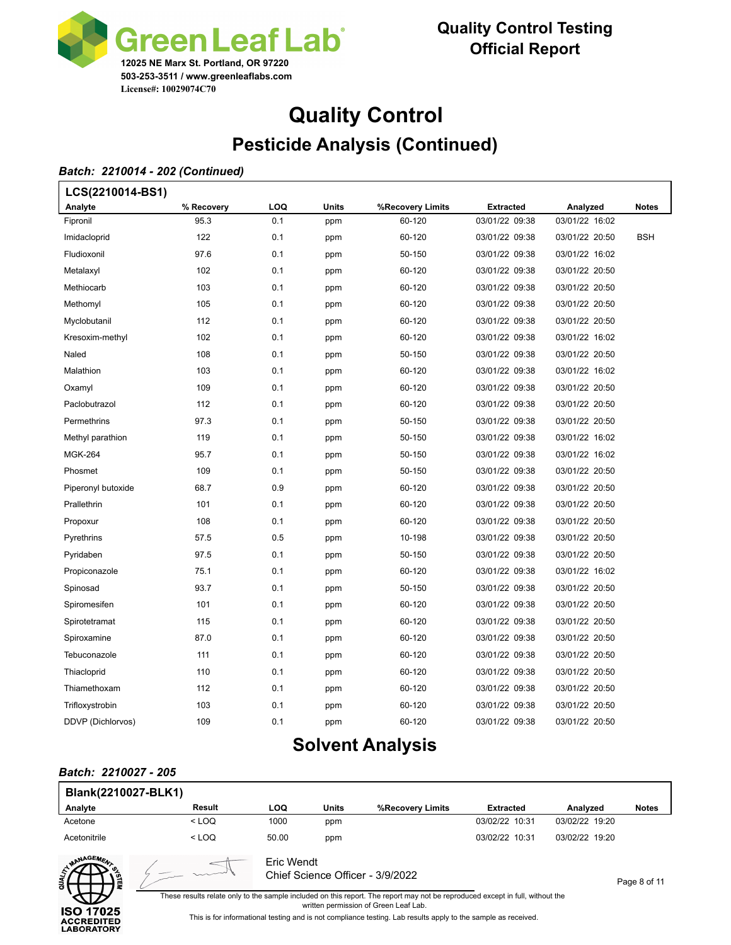

# **Quality Control Pesticide Analysis (Continued)**

#### *Batch: 2210014 - 202 (Continued)*

Г

| LCS(2210014-BS1)   |            |     |       |                  |                  |                |              |
|--------------------|------------|-----|-------|------------------|------------------|----------------|--------------|
| Analyte            | % Recovery | LOQ | Units | %Recovery Limits | <b>Extracted</b> | Analyzed       | <b>Notes</b> |
| Fipronil           | 95.3       | 0.1 | ppm   | 60-120           | 03/01/22 09:38   | 03/01/22 16:02 |              |
| Imidacloprid       | 122        | 0.1 | ppm   | 60-120           | 03/01/22 09:38   | 03/01/22 20:50 | <b>BSH</b>   |
| Fludioxonil        | 97.6       | 0.1 | ppm   | 50-150           | 03/01/22 09:38   | 03/01/22 16:02 |              |
| Metalaxyl          | 102        | 0.1 | ppm   | 60-120           | 03/01/22 09:38   | 03/01/22 20:50 |              |
| Methiocarb         | 103        | 0.1 | ppm   | 60-120           | 03/01/22 09:38   | 03/01/22 20:50 |              |
| Methomyl           | 105        | 0.1 | ppm   | 60-120           | 03/01/22 09:38   | 03/01/22 20:50 |              |
| Myclobutanil       | 112        | 0.1 | ppm   | 60-120           | 03/01/22 09:38   | 03/01/22 20:50 |              |
| Kresoxim-methyl    | 102        | 0.1 | ppm   | 60-120           | 03/01/22 09:38   | 03/01/22 16:02 |              |
| Naled              | 108        | 0.1 | ppm   | 50-150           | 03/01/22 09:38   | 03/01/22 20:50 |              |
| Malathion          | 103        | 0.1 | ppm   | 60-120           | 03/01/22 09:38   | 03/01/22 16:02 |              |
| Oxamyl             | 109        | 0.1 | ppm   | 60-120           | 03/01/22 09:38   | 03/01/22 20:50 |              |
| Paclobutrazol      | 112        | 0.1 | ppm   | 60-120           | 03/01/22 09:38   | 03/01/22 20:50 |              |
| Permethrins        | 97.3       | 0.1 | ppm   | 50-150           | 03/01/22 09:38   | 03/01/22 20:50 |              |
| Methyl parathion   | 119        | 0.1 | ppm   | 50-150           | 03/01/22 09:38   | 03/01/22 16:02 |              |
| <b>MGK-264</b>     | 95.7       | 0.1 | ppm   | 50-150           | 03/01/22 09:38   | 03/01/22 16:02 |              |
| Phosmet            | 109        | 0.1 | ppm   | 50-150           | 03/01/22 09:38   | 03/01/22 20:50 |              |
| Piperonyl butoxide | 68.7       | 0.9 | ppm   | 60-120           | 03/01/22 09:38   | 03/01/22 20:50 |              |
| Prallethrin        | 101        | 0.1 | ppm   | 60-120           | 03/01/22 09:38   | 03/01/22 20:50 |              |
| Propoxur           | 108        | 0.1 | ppm   | 60-120           | 03/01/22 09:38   | 03/01/22 20:50 |              |
| Pyrethrins         | 57.5       | 0.5 | ppm   | 10-198           | 03/01/22 09:38   | 03/01/22 20:50 |              |
| Pyridaben          | 97.5       | 0.1 | ppm   | 50-150           | 03/01/22 09:38   | 03/01/22 20:50 |              |
| Propiconazole      | 75.1       | 0.1 | ppm   | 60-120           | 03/01/22 09:38   | 03/01/22 16:02 |              |
| Spinosad           | 93.7       | 0.1 | ppm   | 50-150           | 03/01/22 09:38   | 03/01/22 20:50 |              |
| Spiromesifen       | 101        | 0.1 | ppm   | 60-120           | 03/01/22 09:38   | 03/01/22 20:50 |              |
| Spirotetramat      | 115        | 0.1 | ppm   | 60-120           | 03/01/22 09:38   | 03/01/22 20:50 |              |
| Spiroxamine        | 87.0       | 0.1 | ppm   | 60-120           | 03/01/22 09:38   | 03/01/22 20:50 |              |
| Tebuconazole       | 111        | 0.1 | ppm   | 60-120           | 03/01/22 09:38   | 03/01/22 20:50 |              |
| Thiacloprid        | 110        | 0.1 | ppm   | 60-120           | 03/01/22 09:38   | 03/01/22 20:50 |              |
| Thiamethoxam       | 112        | 0.1 | ppm   | 60-120           | 03/01/22 09:38   | 03/01/22 20:50 |              |
| Trifloxystrobin    | 103        | 0.1 | ppm   | 60-120           | 03/01/22 09:38   | 03/01/22 20:50 |              |
| DDVP (Dichlorvos)  | 109        | 0.1 | ppm   | 60-120           | 03/01/22 09:38   | 03/01/22 20:50 |              |
|                    |            |     |       |                  |                  |                |              |

## **Solvent Analysis**

#### *Batch: 2210027 - 205*

| Blank(2210027-BLK1)                                        |                                                |            |              |                                                                                                                                                                                                                                                                                         |                  |                |              |  |  |
|------------------------------------------------------------|------------------------------------------------|------------|--------------|-----------------------------------------------------------------------------------------------------------------------------------------------------------------------------------------------------------------------------------------------------------------------------------------|------------------|----------------|--------------|--|--|
| Analyte                                                    | Result                                         | <b>LOQ</b> | <b>Units</b> | %Recovery Limits                                                                                                                                                                                                                                                                        | <b>Extracted</b> | Analyzed       | <b>Notes</b> |  |  |
| Acetone                                                    | $<$ LOO                                        | 1000       | ppm          |                                                                                                                                                                                                                                                                                         | 03/02/22 10:31   | 03/02/22 19:20 |              |  |  |
| Acetonitrile                                               | $<$ LOQ                                        | 50.00      | ppm          |                                                                                                                                                                                                                                                                                         | 03/02/22 10:31   | 03/02/22 19:20 |              |  |  |
| MANAGEMEA                                                  | Eric Wendt<br>Chief Science Officer - 3/9/2022 |            |              |                                                                                                                                                                                                                                                                                         |                  |                |              |  |  |
| <b>ISO 17025</b><br><b>ACCREDITED</b><br><b>LABORATORY</b> |                                                |            |              | These results relate only to the sample included on this report. The report may not be reproduced except in full, without the<br>written permission of Green Leaf Lab.<br>This is for informational testing and is not compliance testing. Lab results apply to the sample as received. |                  |                |              |  |  |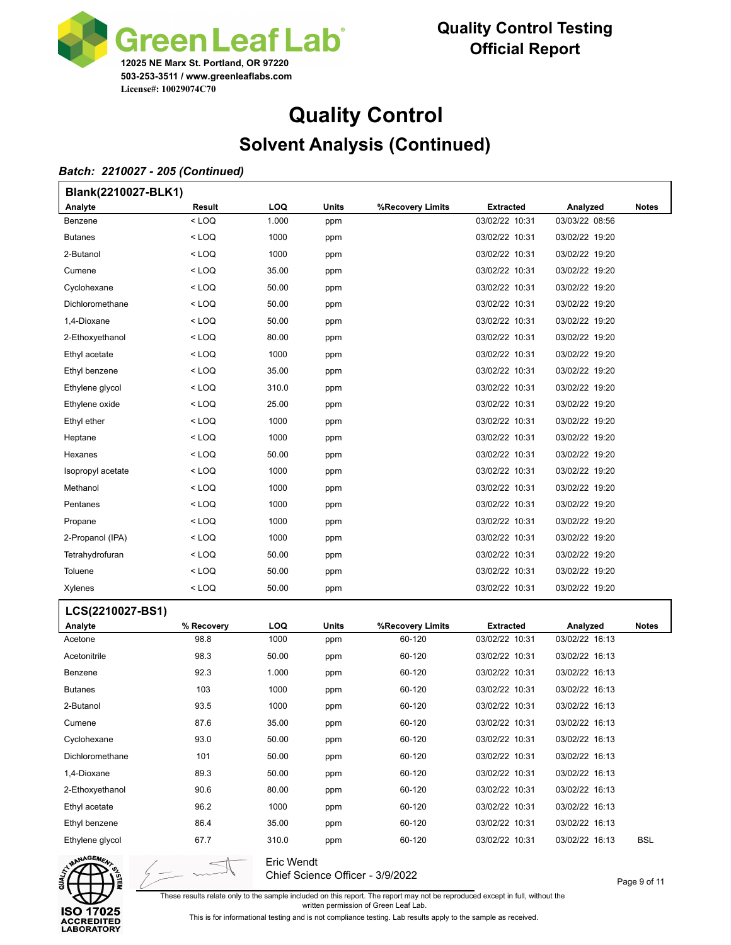

# **Quality Control Solvent Analysis (Continued)**

#### *Batch: 2210027 - 205 (Continued)*

| Blank(2210027-BLK1) |            |            |       |                  |                  |                |              |  |  |  |
|---------------------|------------|------------|-------|------------------|------------------|----------------|--------------|--|--|--|
| Analyte             | Result     | LOQ        | Units | %Recovery Limits | <b>Extracted</b> | Analyzed       | <b>Notes</b> |  |  |  |
| Benzene             | $<$ LOQ    | 1.000      | ppm   |                  | 03/02/22 10:31   | 03/03/22 08:56 |              |  |  |  |
| <b>Butanes</b>      | < LOQ      | 1000       | ppm   |                  | 03/02/22 10:31   | 03/02/22 19:20 |              |  |  |  |
| 2-Butanol           | < LOQ      | 1000       | ppm   |                  | 03/02/22 10:31   | 03/02/22 19:20 |              |  |  |  |
| Cumene              | < LOQ      | 35.00      | ppm   |                  | 03/02/22 10:31   | 03/02/22 19:20 |              |  |  |  |
| Cyclohexane         | < LOQ      | 50.00      | ppm   |                  | 03/02/22 10:31   | 03/02/22 19:20 |              |  |  |  |
| Dichloromethane     | < LOQ      | 50.00      | ppm   |                  | 03/02/22 10:31   | 03/02/22 19:20 |              |  |  |  |
| 1,4-Dioxane         | < LOQ      | 50.00      | ppm   |                  | 03/02/22 10:31   | 03/02/22 19:20 |              |  |  |  |
| 2-Ethoxyethanol     | < LOQ      | 80.00      | ppm   |                  | 03/02/22 10:31   | 03/02/22 19:20 |              |  |  |  |
| Ethyl acetate       | < LOQ      | 1000       | ppm   |                  | 03/02/22 10:31   | 03/02/22 19:20 |              |  |  |  |
| Ethyl benzene       | < LOQ      | 35.00      | ppm   |                  | 03/02/22 10:31   | 03/02/22 19:20 |              |  |  |  |
| Ethylene glycol     | < LOQ      | 310.0      | ppm   |                  | 03/02/22 10:31   | 03/02/22 19:20 |              |  |  |  |
| Ethylene oxide      | < LOQ      | 25.00      | ppm   |                  | 03/02/22 10:31   | 03/02/22 19:20 |              |  |  |  |
| Ethyl ether         | < LOQ      | 1000       | ppm   |                  | 03/02/22 10:31   | 03/02/22 19:20 |              |  |  |  |
| Heptane             | < LOQ      | 1000       | ppm   |                  | 03/02/22 10:31   | 03/02/22 19:20 |              |  |  |  |
| Hexanes             | < LOQ      | 50.00      | ppm   |                  | 03/02/22 10:31   | 03/02/22 19:20 |              |  |  |  |
| Isopropyl acetate   | < LOQ      | 1000       | ppm   |                  | 03/02/22 10:31   | 03/02/22 19:20 |              |  |  |  |
| Methanol            | < LOQ      | 1000       | ppm   |                  | 03/02/22 10:31   | 03/02/22 19:20 |              |  |  |  |
| Pentanes            | < LOQ      | 1000       | ppm   |                  | 03/02/22 10:31   | 03/02/22 19:20 |              |  |  |  |
| Propane             | < LOQ      | 1000       | ppm   |                  | 03/02/22 10:31   | 03/02/22 19:20 |              |  |  |  |
| 2-Propanol (IPA)    | < LOQ      | 1000       | ppm   |                  | 03/02/22 10:31   | 03/02/22 19:20 |              |  |  |  |
| Tetrahydrofuran     | < LOQ      | 50.00      | ppm   |                  | 03/02/22 10:31   | 03/02/22 19:20 |              |  |  |  |
| Toluene             | < LOQ      | 50.00      | ppm   |                  | 03/02/22 10:31   | 03/02/22 19:20 |              |  |  |  |
| Xylenes             | < LOQ      | 50.00      | ppm   |                  | 03/02/22 10:31   | 03/02/22 19:20 |              |  |  |  |
| LCS(2210027-BS1)    |            |            |       |                  |                  |                |              |  |  |  |
| <b>Analyte</b>      | % Recovery | <b>LOQ</b> | Units | %Recovery Limits | <b>Extracted</b> | Analyzed       | Notes        |  |  |  |
| Acetone             | 98.8       | 1000       | ppm   | 60-120           | 03/02/22 10:31   | 03/02/22 16:13 |              |  |  |  |
| Acetonitrile        | 98.3       | 50.00      | ppm   | 60-120           | 03/02/22 10:31   | 03/02/22 16:13 |              |  |  |  |
| Benzene             | 92.3       | 1.000      | ppm   | 60-120           | 03/02/22 10:31   | 03/02/22 16:13 |              |  |  |  |
| <b>Butanes</b>      | 103        | 1000       | ppm   | 60-120           | 03/02/22 10:31   | 03/02/22 16:13 |              |  |  |  |
| 2-Butanol           | 93.5       | 1000       | ppm   | 60-120           | 03/02/22 10:31   | 03/02/22 16:13 |              |  |  |  |
| Cumene              | 87.6       | 35.00      | ppm   | 60-120           | 03/02/22 10:31   | 03/02/22 16:13 |              |  |  |  |
| Cyclohexane         | 93.0       | 50.00      | ppm   | 60-120           | 03/02/22 10:31   | 03/02/22 16:13 |              |  |  |  |
| Dichloromethane     | 101        | 50.00      | ppm   | 60-120           | 03/02/22 10:31   | 03/02/22 16:13 |              |  |  |  |
| 1,4-Dioxane         | 89.3       | 50.00      | ppm   | 60-120           | 03/02/22 10:31   | 03/02/22 16:13 |              |  |  |  |
| 2-Ethoxyethanol     | 90.6       | 80.00      | ppm   | 60-120           | 03/02/22 10:31   | 03/02/22 16:13 |              |  |  |  |
| Ethyl acetate       | 96.2       | 1000       | ppm   | 60-120           | 03/02/22 10:31   | 03/02/22 16:13 |              |  |  |  |
| Ethyl benzene       | 86.4       | 35.00      | ppm   | 60-120           | 03/02/22 10:31   | 03/02/22 16:13 |              |  |  |  |
| Ethylene glycol     | 67.7       | 310.0      | ppm   | 60-120           | 03/02/22 10:31   | 03/02/22 16:13 | <b>BSL</b>   |  |  |  |
|                     |            |            |       |                  |                  |                |              |  |  |  |



Eric Wendt Chief Science Officer - 3/9/2022

These results relate only to the sample included on this report. The report may not be reproduced except in full, without the

written permission of Green Leaf Lab.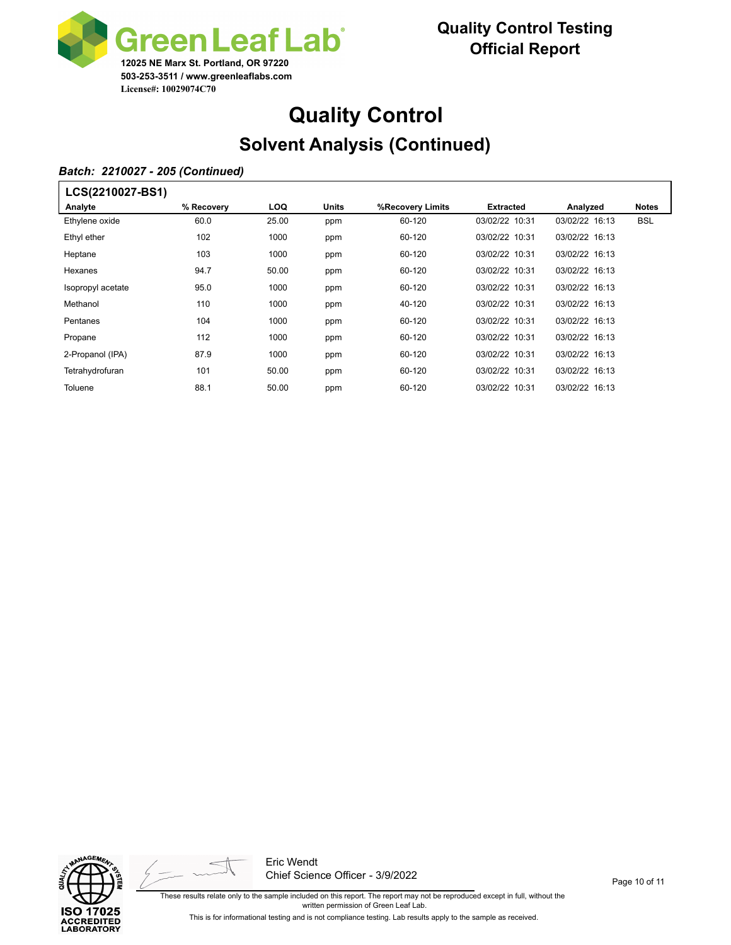

# **Quality Control Solvent Analysis (Continued)**

### *Batch: 2210027 - 205 (Continued)*

| LCS(2210027-BS1)  |            |            |       |                  |                  |                |              |
|-------------------|------------|------------|-------|------------------|------------------|----------------|--------------|
| Analyte           | % Recovery | <b>LOQ</b> | Units | %Recovery Limits | <b>Extracted</b> | Analyzed       | <b>Notes</b> |
| Ethylene oxide    | 60.0       | 25.00      | ppm   | 60-120           | 03/02/22 10:31   | 03/02/22 16:13 | <b>BSL</b>   |
| Ethyl ether       | 102        | 1000       | ppm   | 60-120           | 03/02/22 10:31   | 03/02/22 16:13 |              |
| Heptane           | 103        | 1000       | ppm   | 60-120           | 03/02/22 10:31   | 03/02/22 16:13 |              |
| Hexanes           | 94.7       | 50.00      | ppm   | 60-120           | 03/02/22 10:31   | 03/02/22 16:13 |              |
| Isopropyl acetate | 95.0       | 1000       | ppm   | 60-120           | 03/02/22 10:31   | 03/02/22 16:13 |              |
| Methanol          | 110        | 1000       | ppm   | 40-120           | 03/02/22 10:31   | 03/02/22 16:13 |              |
| Pentanes          | 104        | 1000       | ppm   | 60-120           | 03/02/22 10:31   | 03/02/22 16:13 |              |
| Propane           | 112        | 1000       | ppm   | 60-120           | 03/02/22 10:31   | 03/02/22 16:13 |              |
| 2-Propanol (IPA)  | 87.9       | 1000       | ppm   | 60-120           | 03/02/22 10:31   | 03/02/22 16:13 |              |
| Tetrahydrofuran   | 101        | 50.00      | ppm   | 60-120           | 03/02/22 10:31   | 03/02/22 16:13 |              |
| Toluene           | 88.1       | 50.00      | ppm   | 60-120           | 03/02/22 10:31   | 03/02/22 16:13 |              |





Eric Wendt Chief Science Officer - 3/9/2022